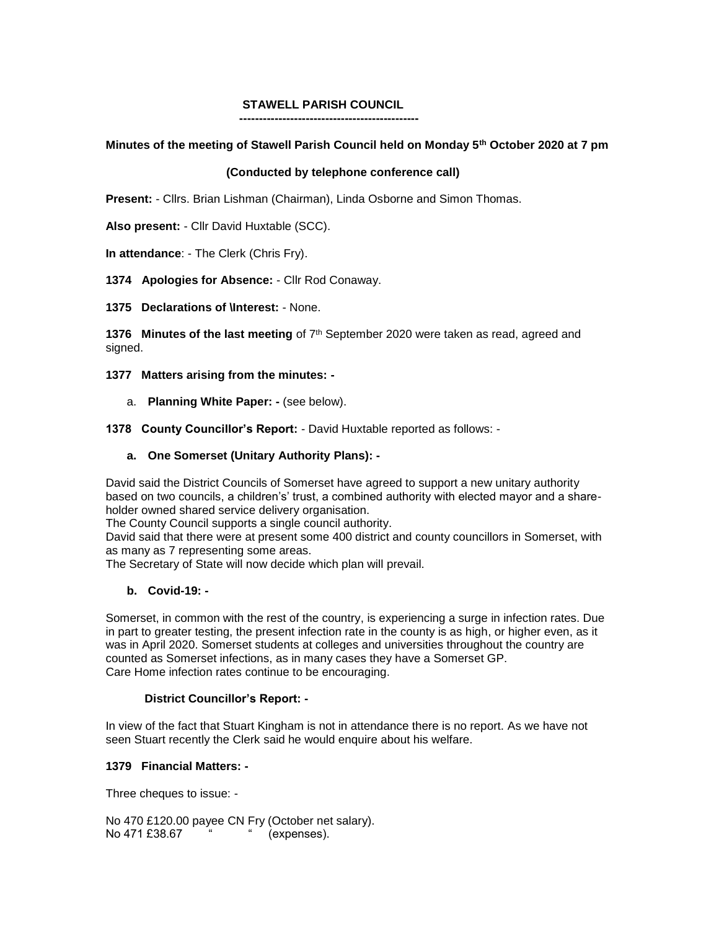# **STAWELL PARISH COUNCIL**

## **Minutes of the meeting of Stawell Parish Council held on Monday 5th October 2020 at 7 pm**

## **(Conducted by telephone conference call)**

**Present:** - Cllrs. Brian Lishman (Chairman), Linda Osborne and Simon Thomas.

**Also present:** - Cllr David Huxtable (SCC).

**In attendance**: - The Clerk (Chris Fry).

**1374 Apologies for Absence:** - Cllr Rod Conaway.

 **----------------------------------------------**

**1375 Declarations of \Interest:** - None.

**1376 Minutes of the last meeting** of 7th September 2020 were taken as read, agreed and signed.

**1377 Matters arising from the minutes: -**

a. **Planning White Paper: -** (see below).

**1378 County Councillor's Report:** - David Huxtable reported as follows: -

### **a. One Somerset (Unitary Authority Plans): -**

David said the District Councils of Somerset have agreed to support a new unitary authority based on two councils, a children's' trust, a combined authority with elected mayor and a shareholder owned shared service delivery organisation.

The County Council supports a single council authority.

David said that there were at present some 400 district and county councillors in Somerset, with as many as 7 representing some areas.

The Secretary of State will now decide which plan will prevail.

### **b. Covid-19: -**

Somerset, in common with the rest of the country, is experiencing a surge in infection rates. Due in part to greater testing, the present infection rate in the county is as high, or higher even, as it was in April 2020. Somerset students at colleges and universities throughout the country are counted as Somerset infections, as in many cases they have a Somerset GP. Care Home infection rates continue to be encouraging.

### **District Councillor's Report: -**

In view of the fact that Stuart Kingham is not in attendance there is no report. As we have not seen Stuart recently the Clerk said he would enquire about his welfare.

### **1379 Financial Matters: -**

Three cheques to issue: -

No 470 £120.00 payee CN Fry (October net salary). No 471 £38.67 " (expenses).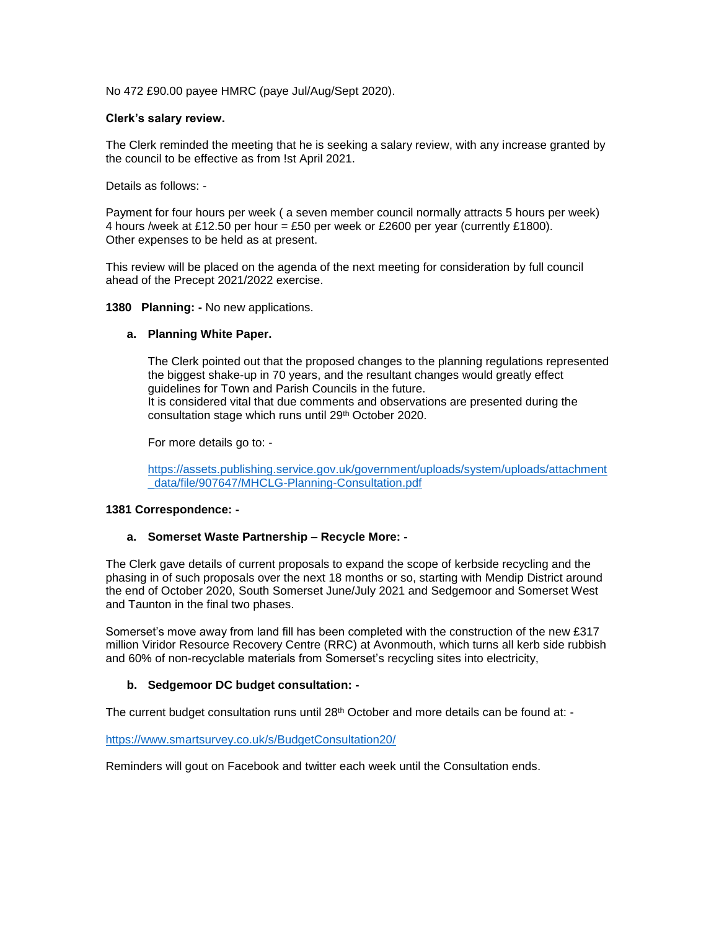No 472 £90.00 payee HMRC (paye Jul/Aug/Sept 2020).

### **Clerk's salary review.**

The Clerk reminded the meeting that he is seeking a salary review, with any increase granted by the council to be effective as from !st April 2021.

Details as follows: -

Payment for four hours per week ( a seven member council normally attracts 5 hours per week) 4 hours /week at £12.50 per hour = £50 per week or £2600 per year (currently £1800). Other expenses to be held as at present.

This review will be placed on the agenda of the next meeting for consideration by full council ahead of the Precept 2021/2022 exercise.

### **1380 Planning: -** No new applications.

### **a. Planning White Paper.**

The Clerk pointed out that the proposed changes to the planning regulations represented the biggest shake-up in 70 years, and the resultant changes would greatly effect guidelines for Town and Parish Councils in the future. It is considered vital that due comments and observations are presented during the consultation stage which runs until 29th October 2020.

For more details go to: -

[https://assets.publishing.service.gov.uk/government/uploads/system/uploads/attachment](https://assets.publishing.service.gov.uk/government/uploads/system/uploads/attachment_data/file/907647/MHCLG-Planning-Consultation.pdf) data/file/907647/MHCLG-Planning-Consultation.pdf

### **1381 Correspondence: -**

### **a. Somerset Waste Partnership – Recycle More: -**

The Clerk gave details of current proposals to expand the scope of kerbside recycling and the phasing in of such proposals over the next 18 months or so, starting with Mendip District around the end of October 2020, South Somerset June/July 2021 and Sedgemoor and Somerset West and Taunton in the final two phases.

Somerset's move away from land fill has been completed with the construction of the new £317 million Viridor Resource Recovery Centre (RRC) at Avonmouth, which turns all kerb side rubbish and 60% of non-recyclable materials from Somerset's recycling sites into electricity,

# **b. Sedgemoor DC budget consultation: -**

The current budget consultation runs until 28<sup>th</sup> October and more details can be found at: -

<https://www.smartsurvey.co.uk/s/BudgetConsultation20/>

Reminders will gout on Facebook and twitter each week until the Consultation ends.